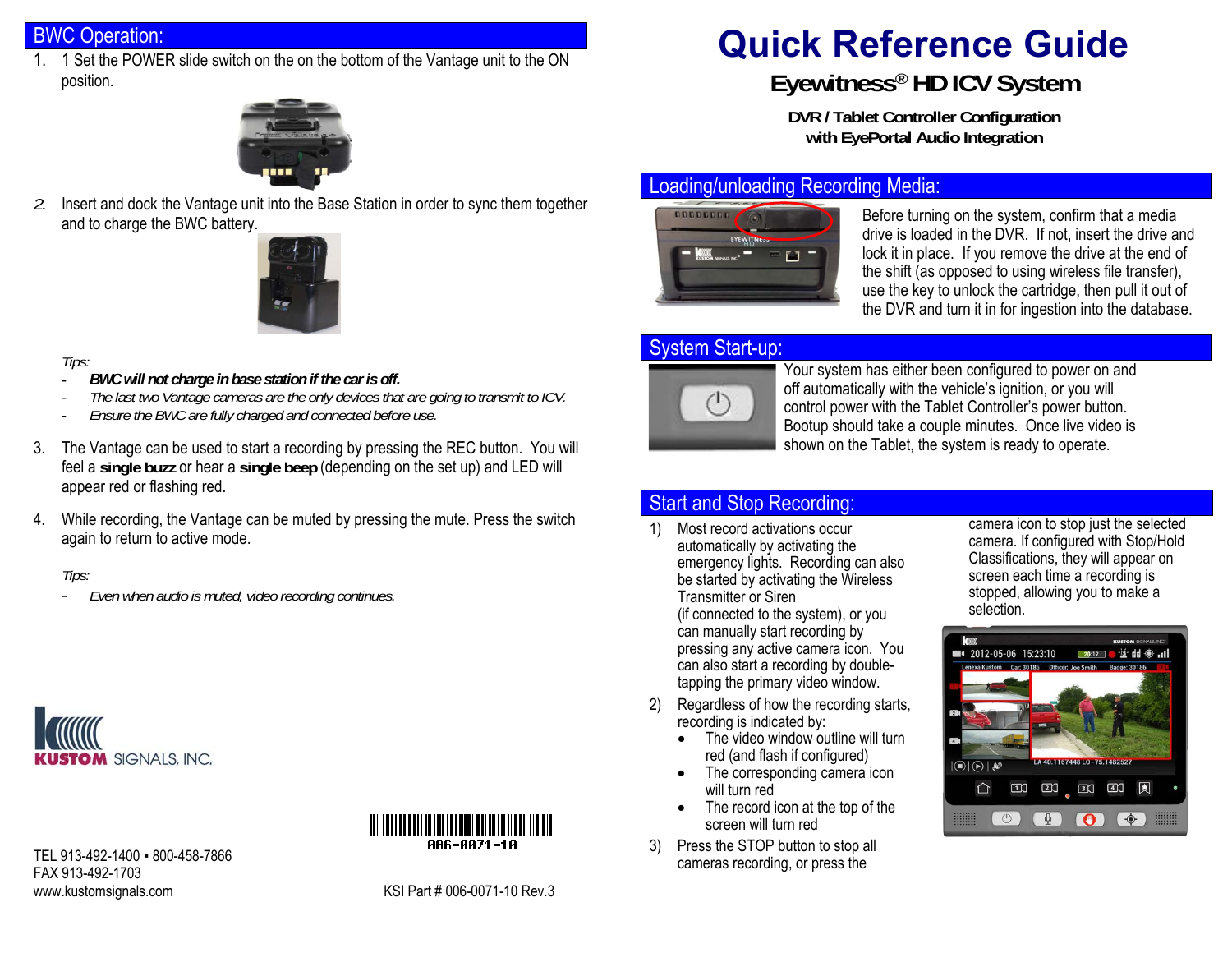## BWC Operation:

1. 1 Set the POWER slide switch on the on the bottom of the Vantage unit to the ON position.



*2.* Insert and dock the Vantage unit into the Base Station in order to sync them together and to charge the BWC battery.



#### *Tips:*

- -*BWC will not charge in base station if the car is off.*
- *The last two Vantage cameras are the only devices that are going to transmit to ICV.*
- *Ensure the BWC are fully charged and connected before use.*
- 3. The Vantage can be used to start a recording by pressing the REC button. You will feel a **single buzz** or hear a **single beep** (depending on the set up) and LED will appear red or flashing red.
- 4. While recording, the Vantage can be muted by pressing the mute. Press the switch again to return to active mode.

#### *Tips:*

-*Even when audio is muted, video recording continues.*





TEL 913-492-1400 · 800-458-7866 FAX 913-492-1703 www.kustomsignals.com Manuson Company RSI Part # 006-0071-10 Rev.3

# **Quick Reference Guide Eyewitness ® HD ICV System**

**DVR / Tablet Controller Configuration with EyePortal Audio Integration** 

#### Loading/unloading Recording Media:



Before turning on the system, confirm that a media drive is loaded in the DVR. If not, insert the drive and lock it in place. If you remove the drive at the end of the shift (as opposed to using wireless file transfer), use the key to unlock the cartridge, then pull it out of the DVR and turn it in for ingestion into the database.

#### System Start-up:



Your system has either been configured to power on and off automatically with the vehicle's ignition, or you will control power with the Tablet Controller's power button. Bootup should take a couple minutes. Once live video is shown on the Tablet, the system is ready to operate.

## Start and Stop Recording:

- 1) Most record activations occur automatically by activating the emergency lights. Recording can also be started by activating the Wireless Transmitter or Siren (if connected to the system), or you can manually start recording by pressing any active camera icon. You can also start a recording by doubletapping the primary video window.
- 2) Regardless of how the recording starts, recording is indicated by:
	- The video window outline will turn red (and flash if configured)
	- The corresponding camera icon will turn red
	- The record icon at the top of the screen will turn red
- 3) Press the STOP button to stop all cameras recording, or press the

camera icon to stop just the selected camera. If configured with Stop/Hold Classifications, they will appear on screen each time a recording is stopped, allowing you to make a selection.